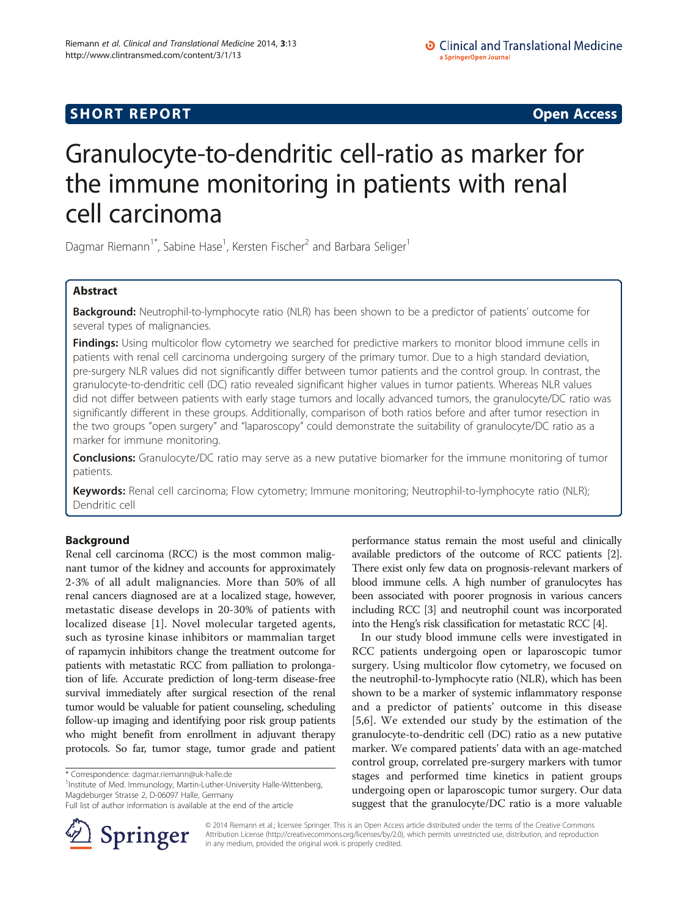# **SHORT REPORT SHORT CONSUMING THE CONSUMING THE CONSUMING THE CONSUMING THE CONSUMING THE CONSUMING THE CONSUMING THE CONSUMING THE CONSUMING THE CONSUMING THE CONSUMING THE CONSUMING THE CONSUMING THE CONSUMING THE CO**

# Granulocyte-to-dendritic cell-ratio as marker for the immune monitoring in patients with renal cell carcinoma

Dagmar Riemann<sup>1\*</sup>, Sabine Hase<sup>1</sup>, Kersten Fischer<sup>2</sup> and Barbara Seliger<sup>1</sup>

# Abstract

Background: Neutrophil-to-lymphocyte ratio (NLR) has been shown to be a predictor of patients' outcome for several types of malignancies.

Findings: Using multicolor flow cytometry we searched for predictive markers to monitor blood immune cells in patients with renal cell carcinoma undergoing surgery of the primary tumor. Due to a high standard deviation, pre-surgery NLR values did not significantly differ between tumor patients and the control group. In contrast, the granulocyte-to-dendritic cell (DC) ratio revealed significant higher values in tumor patients. Whereas NLR values did not differ between patients with early stage tumors and locally advanced tumors, the granulocyte/DC ratio was significantly different in these groups. Additionally, comparison of both ratios before and after tumor resection in the two groups "open surgery" and "laparoscopy" could demonstrate the suitability of granulocyte/DC ratio as a marker for immune monitoring.

**Conclusions:** Granulocyte/DC ratio may serve as a new putative biomarker for the immune monitoring of tumor patients.

**Keywords:** Renal cell carcinoma; Flow cytometry; Immune monitoring; Neutrophil-to-lymphocyte ratio (NLR); Dendritic cell

# Background

Renal cell carcinoma (RCC) is the most common malignant tumor of the kidney and accounts for approximately 2-3% of all adult malignancies. More than 50% of all renal cancers diagnosed are at a localized stage, however, metastatic disease develops in 20-30% of patients with localized disease [\[1](#page-5-0)]. Novel molecular targeted agents, such as tyrosine kinase inhibitors or mammalian target of rapamycin inhibitors change the treatment outcome for patients with metastatic RCC from palliation to prolongation of life. Accurate prediction of long-term disease-free survival immediately after surgical resection of the renal tumor would be valuable for patient counseling, scheduling follow-up imaging and identifying poor risk group patients who might benefit from enrollment in adjuvant therapy protocols. So far, tumor stage, tumor grade and patient

<sup>1</sup>Institute of Med. Immunology, Martin-Luther-University Halle-Wittenberg, Magdeburger Strasse 2, D-06097 Halle, Germany

Full list of author information is available at the end of the article



performance status remain the most useful and clinically available predictors of the outcome of RCC patients [[2](#page-5-0)]. There exist only few data on prognosis-relevant markers of blood immune cells. A high number of granulocytes has been associated with poorer prognosis in various cancers including RCC [\[3\]](#page-5-0) and neutrophil count was incorporated into the Heng's risk classification for metastatic RCC [\[4\]](#page-5-0).

In our study blood immune cells were investigated in RCC patients undergoing open or laparoscopic tumor surgery. Using multicolor flow cytometry, we focused on the neutrophil-to-lymphocyte ratio (NLR), which has been shown to be a marker of systemic inflammatory response and a predictor of patients' outcome in this disease [[5,6](#page-5-0)]. We extended our study by the estimation of the granulocyte-to-dendritic cell (DC) ratio as a new putative marker. We compared patients' data with an age-matched control group, correlated pre-surgery markers with tumor stages and performed time kinetics in patient groups undergoing open or laparoscopic tumor surgery. Our data suggest that the granulocyte/DC ratio is a more valuable

© 2014 Riemann et al.; licensee Springer. This is an Open Access article distributed under the terms of the Creative Commons Attribution License [\(http://creativecommons.org/licenses/by/2.0\)](http://creativecommons.org/licenses/by/2.0), which permits unrestricted use, distribution, and reproduction in any medium, provided the original work is properly credited.

<sup>\*</sup> Correspondence: [dagmar.riemann@uk-halle.de](mailto:dagmar.riemann@uk-halle.de) <sup>1</sup>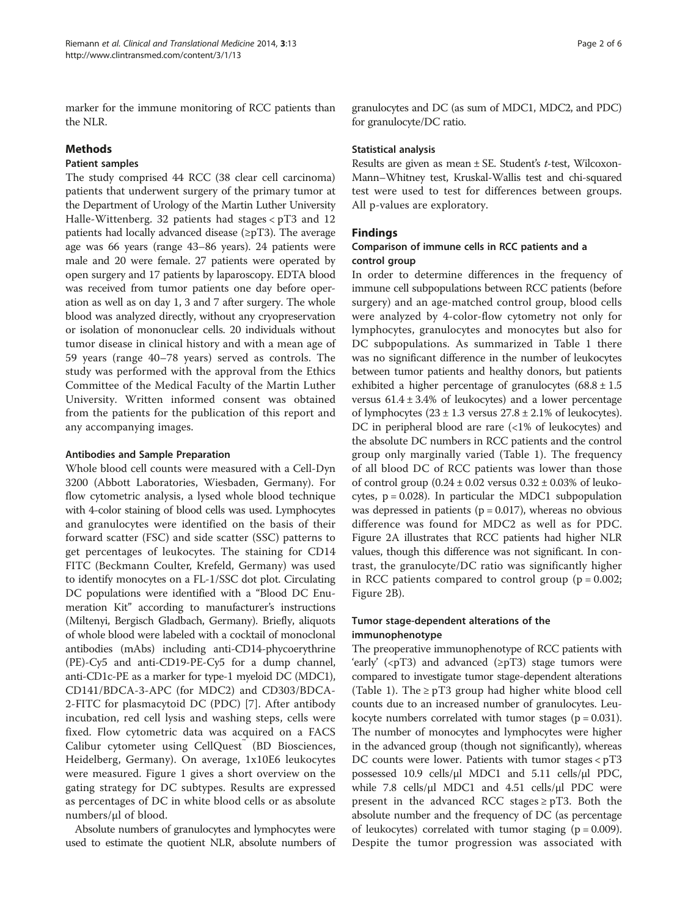marker for the immune monitoring of RCC patients than the NLR.

# Methods

# Patient samples

The study comprised 44 RCC (38 clear cell carcinoma) patients that underwent surgery of the primary tumor at the Department of Urology of the Martin Luther University Halle-Wittenberg. 32 patients had stages < pT3 and 12 patients had locally advanced disease ( $\geq pT3$ ). The average age was 66 years (range 43–86 years). 24 patients were male and 20 were female. 27 patients were operated by open surgery and 17 patients by laparoscopy. EDTA blood was received from tumor patients one day before operation as well as on day 1, 3 and 7 after surgery. The whole blood was analyzed directly, without any cryopreservation or isolation of mononuclear cells. 20 individuals without tumor disease in clinical history and with a mean age of 59 years (range 40–78 years) served as controls. The study was performed with the approval from the Ethics Committee of the Medical Faculty of the Martin Luther University. Written informed consent was obtained from the patients for the publication of this report and any accompanying images.

## Antibodies and Sample Preparation

Whole blood cell counts were measured with a Cell-Dyn 3200 (Abbott Laboratories, Wiesbaden, Germany). For flow cytometric analysis, a lysed whole blood technique with 4-color staining of blood cells was used. Lymphocytes and granulocytes were identified on the basis of their forward scatter (FSC) and side scatter (SSC) patterns to get percentages of leukocytes. The staining for CD14 FITC (Beckmann Coulter, Krefeld, Germany) was used to identify monocytes on a FL-1/SSC dot plot. Circulating DC populations were identified with a "Blood DC Enumeration Kit" according to manufacturer's instructions (Miltenyi, Bergisch Gladbach, Germany). Briefly, aliquots of whole blood were labeled with a cocktail of monoclonal antibodies (mAbs) including anti-CD14-phycoerythrine (PE)-Cy5 and anti-CD19-PE-Cy5 for a dump channel, anti-CD1c-PE as a marker for type-1 myeloid DC (MDC1), CD141/BDCA-3-APC (for MDC2) and CD303/BDCA-2-FITC for plasmacytoid DC (PDC) [\[7](#page-5-0)]. After antibody incubation, red cell lysis and washing steps, cells were fixed. Flow cytometric data was acquired on a FACS Calibur cytometer using CellQuest™ (BD Biosciences, Heidelberg, Germany). On average, 1x10E6 leukocytes were measured. Figure [1](#page-2-0) gives a short overview on the gating strategy for DC subtypes. Results are expressed as percentages of DC in white blood cells or as absolute numbers/μl of blood.

Absolute numbers of granulocytes and lymphocytes were used to estimate the quotient NLR, absolute numbers of granulocytes and DC (as sum of MDC1, MDC2, and PDC) for granulocyte/DC ratio.

# Statistical analysis

Results are given as mean  $\pm$  SE. Student's t-test, Wilcoxon-Mann–Whitney test, Kruskal-Wallis test and chi-squared test were used to test for differences between groups. All p-values are exploratory.

# Findings

# Comparison of immune cells in RCC patients and a control group

In order to determine differences in the frequency of immune cell subpopulations between RCC patients (before surgery) and an age-matched control group, blood cells were analyzed by 4-color-flow cytometry not only for lymphocytes, granulocytes and monocytes but also for DC subpopulations. As summarized in Table [1](#page-2-0) there was no significant difference in the number of leukocytes between tumor patients and healthy donors, but patients exhibited a higher percentage of granulocytes  $(68.8 \pm 1.5$ versus  $61.4 \pm 3.4\%$  of leukocytes) and a lower percentage of lymphocytes  $(23 \pm 1.3 \text{ versus } 27.8 \pm 2.1\% \text{ of }$  leukocytes). DC in peripheral blood are rare (<1% of leukocytes) and the absolute DC numbers in RCC patients and the control group only marginally varied (Table [1\)](#page-2-0). The frequency of all blood DC of RCC patients was lower than those of control group  $(0.24 \pm 0.02$  versus  $0.32 \pm 0.03\%$  of leukocytes,  $p = 0.028$ ). In particular the MDC1 subpopulation was depressed in patients ( $p = 0.017$ ), whereas no obvious difference was found for MDC2 as well as for PDC. Figure [2](#page-3-0)A illustrates that RCC patients had higher NLR values, though this difference was not significant. In contrast, the granulocyte/DC ratio was significantly higher in RCC patients compared to control group ( $p = 0.002$ ; Figure [2B](#page-3-0)).

# Tumor stage-dependent alterations of the immunophenotype

The preoperative immunophenotype of RCC patients with 'early' (<pT3) and advanced (≥pT3) stage tumors were compared to investigate tumor stage-dependent alterations (Table [1](#page-2-0)). The  $\geq pT3$  group had higher white blood cell counts due to an increased number of granulocytes. Leukocyte numbers correlated with tumor stages ( $p = 0.031$ ). The number of monocytes and lymphocytes were higher in the advanced group (though not significantly), whereas DC counts were lower. Patients with tumor stages < pT3 possessed 10.9 cells/μl MDC1 and 5.11 cells/μl PDC, while 7.8 cells/ $\mu$ l MDC1 and 4.51 cells/ $\mu$ l PDC were present in the advanced RCC stages  $\ge$  pT3. Both the absolute number and the frequency of DC (as percentage of leukocytes) correlated with tumor staging ( $p = 0.009$ ). Despite the tumor progression was associated with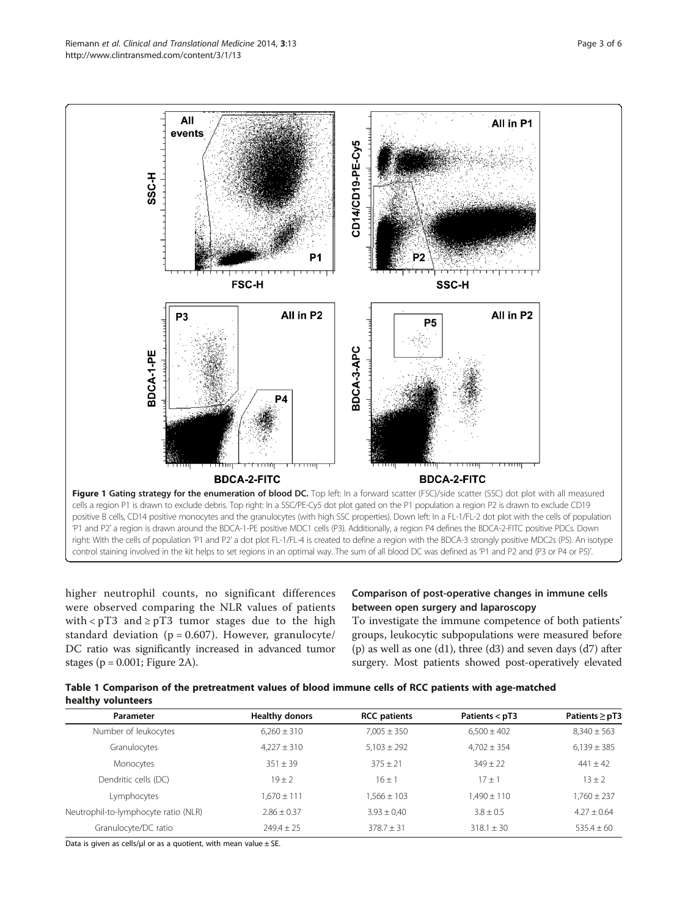<span id="page-2-0"></span>

higher neutrophil counts, no significant differences were observed comparing the NLR values of patients with <  $pT3$  and  $\geq pT3$  tumor stages due to the high standard deviation ( $p = 0.607$ ). However, granulocyte/ DC ratio was significantly increased in advanced tumor stages ( $p = 0.001$ ; Figure [2](#page-3-0)A).

# Comparison of post-operative changes in immune cells between open surgery and laparoscopy

To investigate the immune competence of both patients' groups, leukocytic subpopulations were measured before (p) as well as one (d1), three (d3) and seven days (d7) after surgery. Most patients showed post-operatively elevated

Table 1 Comparison of the pretreatment values of blood immune cells of RCC patients with age-matched healthy volunteers

| Parameter                            | <b>Healthy donors</b> | <b>RCC</b> patients | Patients $<$ pT3 | Patients $\ge$ pT3 |
|--------------------------------------|-----------------------|---------------------|------------------|--------------------|
| Number of leukocytes                 | $6.260 \pm 310$       | $7.005 \pm 350$     | $6.500 \pm 402$  | $8.340 \pm 563$    |
| Granulocytes                         | $4.227 \pm 310$       | $5.103 \pm 292$     | $4.702 \pm 354$  | $6,139 \pm 385$    |
| Monocytes                            | $351 + 39$            | $375 + 21$          | $349 + 22$       | $441 + 42$         |
| Dendritic cells (DC)                 | $19 + 2$              | $16 + 1$            | 17+1             | $13 + 2$           |
| Lymphocytes                          | 1.670 ± 111           | $1.566 \pm 103$     | $1.490 \pm 110$  | $1.760 \pm 237$    |
| Neutrophil-to-lymphocyte ratio (NLR) | $2.86 + 0.37$         | $3.93 \pm 0.40$     | $3.8 + 0.5$      | $4.27 + 0.64$      |
| Granulocyte/DC ratio                 | $749.4 + 75$          | $378.7 + 31$        | $318.1 + 30$     | $535.4 + 60$       |

Data is given as cells/ $\mu$ l or as a quotient, with mean value  $\pm$  SE.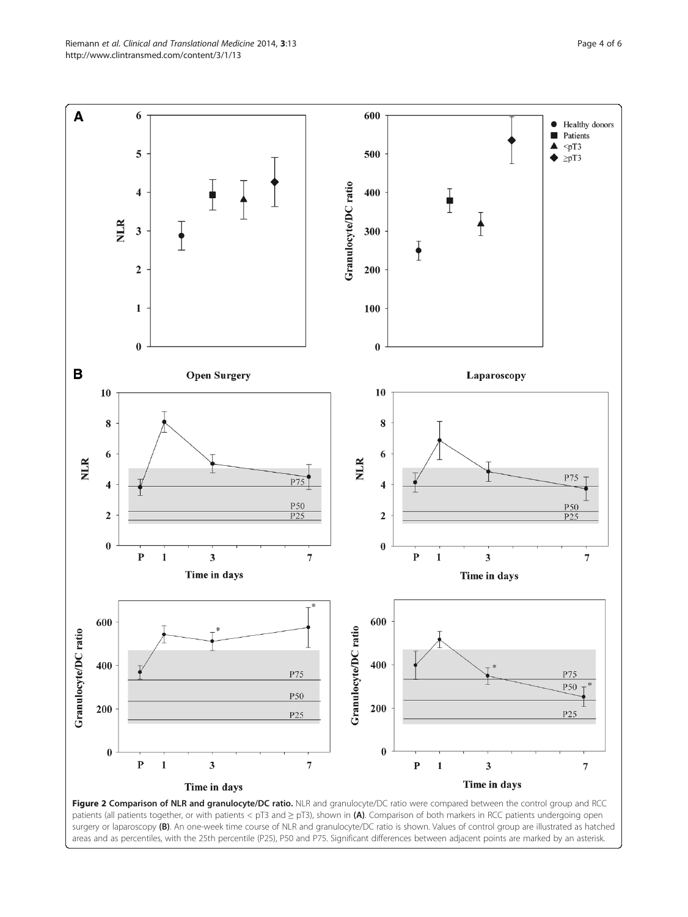<span id="page-3-0"></span>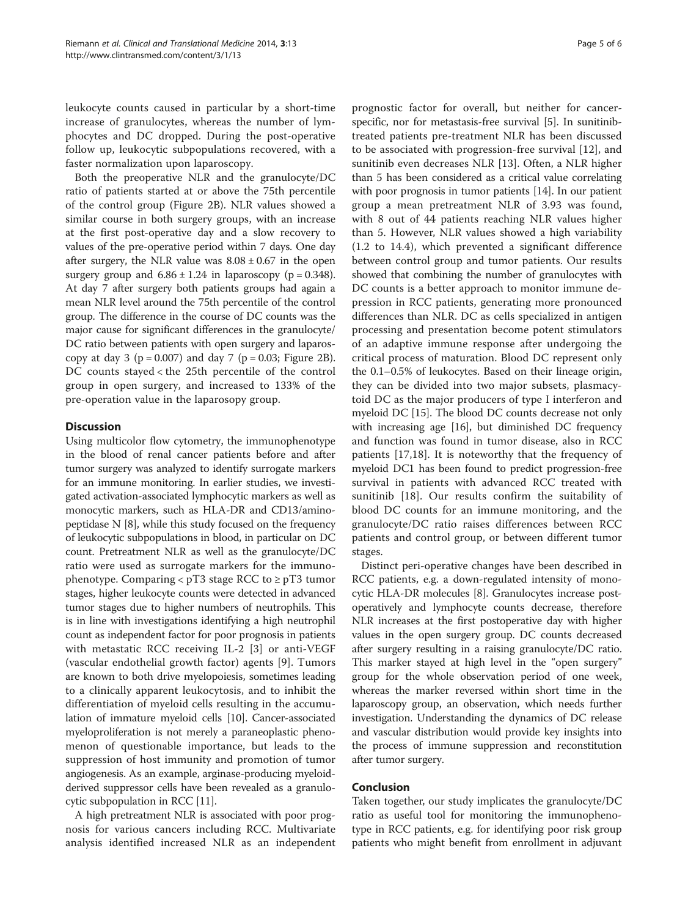leukocyte counts caused in particular by a short-time increase of granulocytes, whereas the number of lymphocytes and DC dropped. During the post-operative follow up, leukocytic subpopulations recovered, with a faster normalization upon laparoscopy.

Both the preoperative NLR and the granulocyte/DC ratio of patients started at or above the 75th percentile of the control group (Figure [2B](#page-3-0)). NLR values showed a similar course in both surgery groups, with an increase at the first post-operative day and a slow recovery to values of the pre-operative period within 7 days. One day after surgery, the NLR value was  $8.08 \pm 0.67$  in the open surgery group and  $6.86 \pm 1.24$  in laparoscopy ( $p = 0.348$ ). At day 7 after surgery both patients groups had again a mean NLR level around the 75th percentile of the control group. The difference in the course of DC counts was the major cause for significant differences in the granulocyte/ DC ratio between patients with open surgery and laparoscopy at day 3 ( $p = 0.007$ ) and day 7 ( $p = 0.03$ ; Figure [2B](#page-3-0)). DC counts stayed < the 25th percentile of the control group in open surgery, and increased to 133% of the pre-operation value in the laparosopy group.

### **Discussion**

Using multicolor flow cytometry, the immunophenotype in the blood of renal cancer patients before and after tumor surgery was analyzed to identify surrogate markers for an immune monitoring. In earlier studies, we investigated activation-associated lymphocytic markers as well as monocytic markers, such as HLA-DR and CD13/aminopeptidase N [[8](#page-5-0)], while this study focused on the frequency of leukocytic subpopulations in blood, in particular on DC count. Pretreatment NLR as well as the granulocyte/DC ratio were used as surrogate markers for the immunophenotype. Comparing <  $pT3$  stage RCC to  $\geq pT3$  tumor stages, higher leukocyte counts were detected in advanced tumor stages due to higher numbers of neutrophils. This is in line with investigations identifying a high neutrophil count as independent factor for poor prognosis in patients with metastatic RCC receiving IL-2 [\[3](#page-5-0)] or anti-VEGF (vascular endothelial growth factor) agents [[9\]](#page-5-0). Tumors are known to both drive myelopoiesis, sometimes leading to a clinically apparent leukocytosis, and to inhibit the differentiation of myeloid cells resulting in the accumulation of immature myeloid cells [\[10](#page-5-0)]. Cancer-associated myeloproliferation is not merely a paraneoplastic phenomenon of questionable importance, but leads to the suppression of host immunity and promotion of tumor angiogenesis. As an example, arginase-producing myeloidderived suppressor cells have been revealed as a granulocytic subpopulation in RCC [[11](#page-5-0)].

A high pretreatment NLR is associated with poor prognosis for various cancers including RCC. Multivariate analysis identified increased NLR as an independent

prognostic factor for overall, but neither for cancerspecific, nor for metastasis-free survival [\[5\]](#page-5-0). In sunitinibtreated patients pre-treatment NLR has been discussed to be associated with progression-free survival [[12\]](#page-5-0), and sunitinib even decreases NLR [[13\]](#page-5-0). Often, a NLR higher than 5 has been considered as a critical value correlating with poor prognosis in tumor patients [[14](#page-5-0)]. In our patient group a mean pretreatment NLR of 3.93 was found, with 8 out of 44 patients reaching NLR values higher than 5. However, NLR values showed a high variability (1.2 to 14.4), which prevented a significant difference between control group and tumor patients. Our results showed that combining the number of granulocytes with DC counts is a better approach to monitor immune depression in RCC patients, generating more pronounced differences than NLR. DC as cells specialized in antigen processing and presentation become potent stimulators of an adaptive immune response after undergoing the critical process of maturation. Blood DC represent only the 0.1–0.5% of leukocytes. Based on their lineage origin, they can be divided into two major subsets, plasmacytoid DC as the major producers of type I interferon and myeloid DC [\[15\]](#page-5-0). The blood DC counts decrease not only with increasing age [[16](#page-5-0)], but diminished DC frequency and function was found in tumor disease, also in RCC patients [[17,18\]](#page-5-0). It is noteworthy that the frequency of myeloid DC1 has been found to predict progression-free survival in patients with advanced RCC treated with sunitinib [\[18](#page-5-0)]. Our results confirm the suitability of blood DC counts for an immune monitoring, and the granulocyte/DC ratio raises differences between RCC patients and control group, or between different tumor stages.

Distinct peri-operative changes have been described in RCC patients, e.g. a down-regulated intensity of monocytic HLA-DR molecules [\[8\]](#page-5-0). Granulocytes increase postoperatively and lymphocyte counts decrease, therefore NLR increases at the first postoperative day with higher values in the open surgery group. DC counts decreased after surgery resulting in a raising granulocyte/DC ratio. This marker stayed at high level in the "open surgery" group for the whole observation period of one week, whereas the marker reversed within short time in the laparoscopy group, an observation, which needs further investigation. Understanding the dynamics of DC release and vascular distribution would provide key insights into the process of immune suppression and reconstitution after tumor surgery.

#### Conclusion

Taken together, our study implicates the granulocyte/DC ratio as useful tool for monitoring the immunophenotype in RCC patients, e.g. for identifying poor risk group patients who might benefit from enrollment in adjuvant